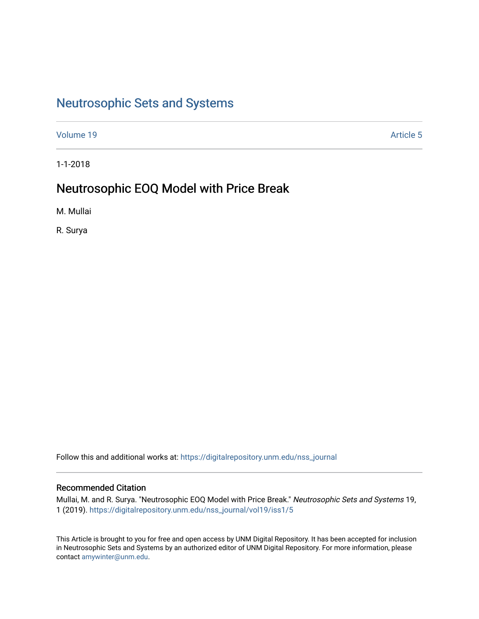# [Neutrosophic Sets and Systems](https://digitalrepository.unm.edu/nss_journal)

[Volume 19](https://digitalrepository.unm.edu/nss_journal/vol19) Article 5

1-1-2018

# Neutrosophic EOQ Model with Price Break

M. Mullai

R. Surya

Follow this and additional works at: [https://digitalrepository.unm.edu/nss\\_journal](https://digitalrepository.unm.edu/nss_journal?utm_source=digitalrepository.unm.edu%2Fnss_journal%2Fvol19%2Fiss1%2F5&utm_medium=PDF&utm_campaign=PDFCoverPages) 

#### Recommended Citation

Mullai, M. and R. Surya. "Neutrosophic EOQ Model with Price Break." Neutrosophic Sets and Systems 19, 1 (2019). [https://digitalrepository.unm.edu/nss\\_journal/vol19/iss1/5](https://digitalrepository.unm.edu/nss_journal/vol19/iss1/5?utm_source=digitalrepository.unm.edu%2Fnss_journal%2Fvol19%2Fiss1%2F5&utm_medium=PDF&utm_campaign=PDFCoverPages) 

This Article is brought to you for free and open access by UNM Digital Repository. It has been accepted for inclusion in Neutrosophic Sets and Systems by an authorized editor of UNM Digital Repository. For more information, please contact [amywinter@unm.edu](mailto:amywinter@unm.edu).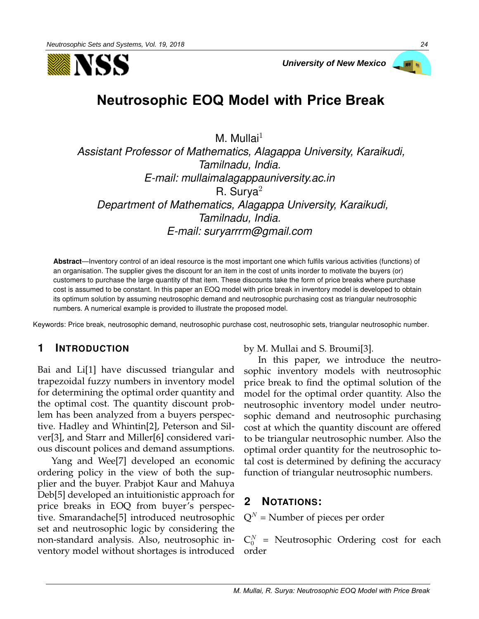



# **Neutrosophic EOQ Model with Price Break**

M. Mullai $1$ *Assistant Professor of Mathematics, Alagappa University, Karaikudi, Tamilnadu, India. E-mail: mullaimalagappauniversity.ac.in* R. Surya $2$ *Department of Mathematics, Alagappa University, Karaikudi, Tamilnadu, India. E-mail: suryarrrm@gmail.com*

**Abstract**—Inventory control of an ideal resource is the most important one which fulfils various activities (functions) of an organisation. The supplier gives the discount for an item in the cost of units inorder to motivate the buyers (or) customers to purchase the large quantity of that item. These discounts take the form of price breaks where purchase cost is assumed to be constant. In this paper an EOQ model with price break in inventory model is developed to obtain its optimum solution by assuming neutrosophic demand and neutrosophic purchasing cost as triangular neutrosophic numbers. A numerical example is provided to illustrate the proposed model.

Keywords: Price break, neutrosophic demand, neutrosophic purchase cost, neutrosophic sets, triangular neutrosophic number.

# **1 INTRODUCTION**

Bai and Li[1] have discussed triangular and trapezoidal fuzzy numbers in inventory model for determining the optimal order quantity and the optimal cost. The quantity discount problem has been analyzed from a buyers perspective. Hadley and Whintin[2], Peterson and Silver[3], and Starr and Miller[6] considered various discount polices and demand assumptions.

Yang and Wee[7] developed an economic ordering policy in the view of both the supplier and the buyer. Prabjot Kaur and Mahuya Deb[5] developed an intuitionistic approach for price breaks in EOQ from buyer's perspective. Smarandache[5] introduced neutrosophic set and neutrosophic logic by considering the non-standard analysis. Also, neutrosophic inventory model without shortages is introduced

by M. Mullai and S. Broumi[3].

In this paper, we introduce the neutrosophic inventory models with neutrosophic price break to find the optimal solution of the model for the optimal order quantity. Also the neutrosophic inventory model under neutrosophic demand and neutrosophic purchasing cost at which the quantity discount are offered to be triangular neutrosophic number. Also the optimal order quantity for the neutrosophic total cost is determined by defining the accuracy function of triangular neutrosophic numbers.

# **2 NOTATIONS:**

 $Q^N$  = Number of pieces per order

 $C_0^N$  = Neutrosophic Ordering cost for each order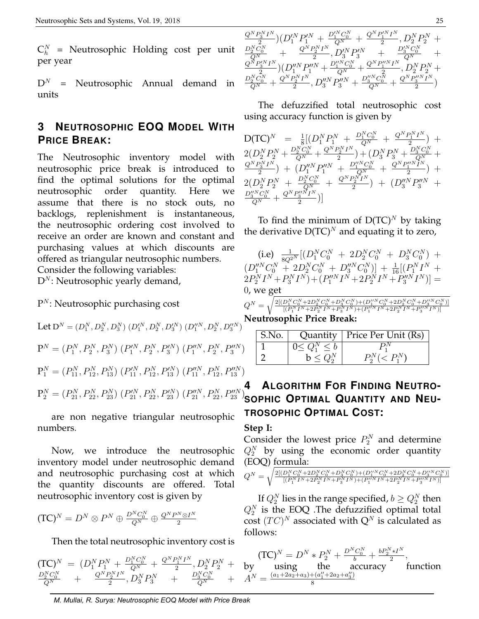$C_h^N$  = Neutrosophic Holding cost per unit per year

 $D^N$  = Neutrosophic Annual demand in units

# **3 NEUTROSOPHIC EOQ MODEL WITH PRICE BREAK:**

The Neutrosophic inventory model with neutrosophic price break is introduced to find the optimal solutions for the optimal neutrosophic order quantity. Here assume that there is no stock outs, no backlogs, replenishment is instantaneous, the neutrosophic ordering cost involved to receive an order are known and constant and purchasing values at which discounts are offered as triangular neutrosophic numbers. Consider the following variables:

 $D^N$ : Neutrosophic yearly demand,

### $P^N$ : Neutrosophic purchasing cost

Let 
$$
D^N = (D_1^N, D_2^N, D_3^N) (D_1^{\prime N}, D_2^N, D_3^{\prime N}) (D_1^{\prime \prime N}, D_2^N, D_3^{\prime \prime N})^T
$$
  
\n
$$
P^N = (P_1^N, P_2^N, P_3^N) (P_1^{\prime N}, P_2^N, P_3^{\prime N}) (P_1^{\prime \prime N}, P_2^N, P_3^{\prime \prime N})
$$
\n
$$
P_1^N = (P_{11}^N, P_{12}^N, P_{13}^N) (P_{11}^{\prime N}, P_{12}^N, P_{13}^{\prime N}) (P_{11}^{\prime \prime N}, P_{12}^N, P_{13}^{\prime \prime N})
$$
\n
$$
P_2^N = (P_{21}^N, P_{22}^N, P_{23}^N) (P_{21}^{\prime N}, P_{22}^N, P_{23}^{\prime N}) (P_{21}^{\prime \prime N}, P_{22}^N, P_{23}^{\prime \prime N})
$$

are non negative triangular neutrosophic numbers.

Now, we introduce the neutrosophic inventory model under neutrosophic demand and neutrosophic purchasing cost at which the quantity discounts are offered. Total neutrosophic inventory cost is given by

$$
(\text{TC})^N = D^N \otimes P^N \oplus \frac{D^N C_0^N}{Q^N} \oplus \frac{Q^N P^N \otimes I^N}{2}
$$

Then the total neutrosophic inventory cost is

 $(\text{TC})^N \;=\; (D_1^N P_1^N \,+\, \frac{D_1^N C_0^N}{Q^N} \,+\, \frac{Q^N P_1^N I^N}{2}$  $\frac{1}{2}^{2N}P_{2}^{N}+$  $\frac{D_2^NC_0^N}{Q^N}$  +  $\frac{Q^NP_2^NI^N}{2}$  $\frac{D_2^N I^N}{2}, D_3^N P_3^N$  +  $\frac{D_3^N C_0^N}{Q^N}$  +

$$
\frac{\frac{Q^N P_3^N I^N}{2} (D_1^{\prime N} P_1^{\prime N} + \frac{D_1^{\prime N} C_0^N}{Q^N} + \frac{Q^N P_1^{\prime N} I^N}{2}, D_2^N P_2^N + \\ \frac{D_2^N C_0^N}{Q^N} + \frac{Q^N P_2^N I^N}{2}, D_3^{\prime N} P_3^{\prime N} + \frac{D_3^{\prime N} C_0^N}{Q^N} + \\ \frac{Q^N P_3^{\prime N} I^N}{2} (D_1^{\prime N} P_1^{\prime N} + \frac{D_1^{\prime N} C_0^N}{Q^N} + \frac{Q^N P_1^{\prime N} I^N}{2}, D_2^N P_2^N + \\ \frac{D_2^N C_0^N}{Q^N} + \frac{Q^N P_2^N I^N}{2}, D_3^{\prime N} P_3^{\prime N} + \frac{D_3^{\prime N} C_0^N}{Q^N} + \frac{Q^N P_3^{\prime N} I^N}{2})
$$

The defuzzified total neutrosophic cost using accuracy function is given by

| $D(TC)^N = \frac{1}{8} [(D_1^N P_1^N + \frac{D_1^N C_0^N}{Q^N} + \frac{Q^N P_1^N I^N}{2})$                                                                                                       |  |
|--------------------------------------------------------------------------------------------------------------------------------------------------------------------------------------------------|--|
| $2(D_2^N P_2^N + \frac{D_2^N C_0^N}{Q^N} + \frac{Q^N P_2^N I^N}{2}) + (D_3^N P_3^N + \frac{D_3^N C_0^N}{Q^N}$                                                                                    |  |
| $\frac{Q^N P_3^N I^N}{2}$ + $\left(D_1''^N P_1''^N + \frac{D_1''^N C_0^N}{Q^N} + \right)$<br>$Q^N P_1''^N I^N$                                                                                   |  |
| $\frac{Q^NP_2^NI^N}{2}\big) + \big(D_3''^NP_3''^N\big)$<br>$\begin{array}{rcl} &+\frac{D_{2}^{N}C_{0}^{N}}{Q^{N}}\\ &-\frac{Q^{N}P_{2}^{\prime\prime N}I^{N}}{2} \end{array}$<br>$2(D_2^NP_2^N)$ |  |
| $D_3''^N C_0^N$<br>$Q^{N}$                                                                                                                                                                       |  |

To find the minimum of  $D(TC)^N$  by taking the derivative  $D(TC)^N$  and equating it to zero,

(i.e) 
$$
\frac{1}{8Q^{2N}}[(D_1^NC_0^N + 2D_2^NC_0^N + D_3^NC_0^N) + (D_1^{\prime\prime N}C_0^N + 2D_2^NC_0^N + D_3^{\prime\prime N}C_0^N)] + \frac{1}{16}[(P_1^N I^N + 2P_2^N I^N + P_3^N I^N) + (P_1^{\prime\prime N}I^N + 2P_2^N I^N + P_3^{\prime\prime N}I^N)] = 0, \text{ we get}
$$

$$
Q^N = \sqrt{\tfrac{2[(D_1^N C_0^N + 2 D_2^N C_0^N + D_3^N C_0^N) + (D_1^{\prime \prime N} C_0^N + 2 D_2^N C_0^N + D_3^{\prime \prime N} C_0^N)]}{[(P_1^N I^N + 2 P_2^N I^N + P_3^N I^N) + (P_1^{\prime \prime N} I^N + 2 P_2^N I^N + P_3^{\prime \prime N} I^N)]}}
$$

**Neutrosophic Price Break:**

| S.No. |                 | Quantity   Price Per Unit $(Rs)$ |
|-------|-----------------|----------------------------------|
|       | $0 < Q_1^N < b$ |                                  |
|       |                 |                                  |

# **4 ALGORITHM FOR FINDING NEUTRO-SOPHIC OPTIMAL QUANTITY AND NEU-TROSOPHIC OPTIMAL COST:**

#### **Step I:**

Consider the lowest price  $P_2^N$  and determine  $Q_2^N$  by using the economic order quantity (EOQ) formula:

$$
Q^N = \sqrt{\frac{2[(D_1^N C_0^N + 2D_2^N C_0^N + D_3^N C_0^N) + (D_1^{\prime \prime N} C_0^N + 2D_2^N C_0^N + D_3^{\prime \prime N} C_0^N)]}{[(P_1^N I^N + 2P_2^N I^N + P_3^N I^N) + (P_1^{\prime \prime N} I^N + 2P_2^N I^N + P_3^{\prime \prime N} I^N)]}}
$$

If  $Q_2^N$  lies in the range specified,  $b\geq Q_2^N$  then  $Q_2^N$  is the EOQ .The defuzzified optimal total  $\mathrm{cost}\; (TC)^N$  associated with  $\mathsf{Q}^N$  is calculated as follows:

$$
(\text{TC})^N = D^N * P_2^N + \frac{D^N C_0^N}{b} + \frac{b P_2^N * I^N}{2},
$$
  
by using the accuracy function  

$$
A^N = \frac{(a_1 + 2a_2 + a_3) + (a_1'' + 2a_2 + a_3'')}{8}
$$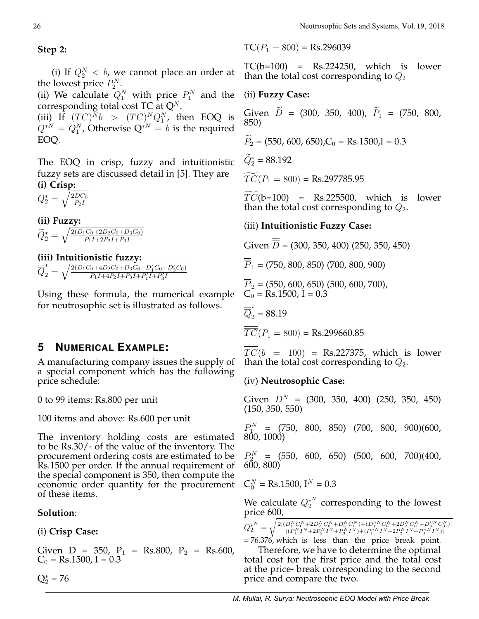**Step 2:**

(i) If  $Q_2^N < b$ , we cannot place an order at the lowest price  $P_2^N$ .

(ii) We calculate  $Q_1^N$  with price  $P_1^N$  and the corresponding total cost TC at  $Q^N$ .

(iii) If  $(TC)^N b$  >  $(TC)^N Q_1^N$ , then EOQ is  $Q^{*N} = Q_1^N$ , Otherwise  $Q^{*N} = b$  is the required EOQ.

The EOQ in crisp, fuzzy and intuitionistic fuzzy sets are discussed detail in [5]. They are **(i) Crisp:**

 $Q_2^*=\sqrt{\frac{2DC_0}{P_2I}}$  $P_2I$ 

**(ii) Fuzzy:**  $\widetilde{Q}^*_2 = \sqrt{\frac{2 (D_1 C_0 + 2 D_2 C_0 + D_3 C_0)}{P_1 I + 2 P_2 I + P_3 I}}$  $P_1I+2P_2I+P_3I$ 

# **(iii) Intuitionistic fuzzy:**

 $\overline{\overline{Q}}_2^* = \sqrt{\frac{2(D_1C_0 + 4D_2C_0 + D_3C_0 + D_1'C_0 + D_3'C_0)}{P_1I + 4P_2I + P_3I + P_1'I + P_2'I}}$  $\frac{P_1I + 4P_2I + P_3I + P_1'I + P_3'I}{P_1I + P_2I + P_3I}$ 

Using these formula, the numerical example for neutrosophic set is illustrated as follows.

# **5 NUMERICAL EXAMPLE:**

A manufacturing company issues the supply of a special component which has the following price schedule:

0 to 99 items: Rs.800 per unit

100 items and above: Rs.600 per unit

The inventory holding costs are estimated to be Rs.30/- of the value of the inventory. The procurement ordering costs are estimated to be Rs.1500 per order. If the annual requirement of the special component is 350, then compute the economic order quantity for the procurement of these items.

### **Solution**:

(i) **Crisp Case:**

Given  $D = 350$ ,  $P_1 = Rs.800$ ,  $P_2 = Rs.600$ ,  $C_0 = \text{Rs}.1500$ , I = 0.3

 $Q_2^* = 76$ 

 $TC(P_1 = 800) = Rs.296039$ 

 $TC(b=100) = Rs.224250$ , which is lower than the total cost corresponding to  $Q_2$ 

### (ii) **Fuzzy Case:**

Given  $\tilde{D} = (300, 350, 400), \tilde{P}_1 = (750, 800,$ 850)

$$
\widetilde{P}_2 = (550, 600, 650), C_0 = \text{Rs}.1500, I = 0.3
$$

 $\widetilde{Q}_2^* = 88.192$ 

 $\widetilde{TC}(P_1 = 800) = \text{Rs}.297785.95$ 

 $TC(b=100)$  = Rs.225500, which is lower than the total cost corresponding to  $Q_2$ .

### (iii) **Intuitionistic Fuzzy Case:**

Given  $\overline{D}$  = (300, 350, 400) (250, 350, 450)

 $\overline{\overline{P}}_1$  = (750, 800, 850) (700, 800, 900)

$$
\overline{\overline{P}}_2 = (550, 600, 650) (500, 600, 700),
$$
  
C<sub>0</sub> = Rs.1500, I = 0.3

 $\overline{\overline{Q}}_2^*$  = 88.19

 $\overline{TC}(P_1 = 800) = \text{Rs}.299660.85$ 

 $\overline{TC}(b = 100)$  = Rs.227375, which is lower than the total cost corresponding to  $Q_2$ .

(iv) **Neutrosophic Case:**

Given  $D^N$  = (300, 350, 400) (250, 350, 450) (150, 350, 550)

 $P_{1}^{N}$  = (750, 800, 850) (700, 800, 900)(600, 800, 1000)

 $P_{2a}^{N} = (550, 600, 650)$  (500, 600, 700)(400,  $600, 800)$ 

$$
C_0^N = \text{Rs.1500}, I^N = 0.3
$$

We calculate  $Q_2^{*^N}$  corresponding to the lowest price 600,

$$
Q^{*^N}_2=\sqrt{\tfrac{2[(D_1^N C_0^N+2D_2^N C_0^N+D_3^N C_0^N)+(D_1^{\prime \prime N} C_0^N+2D_2^N C_0^N+D_3^{\prime \prime N} C_0^N)]}{[(P_1^N I^N+2P_2^N I^N+(P_1^{\prime \prime N} I^N+2P_2^N I^N+P_3^{\prime \prime N} I^N)]}}
$$

= 76.376, which is less than the price break point.

Therefore, we have to determine the optimal total cost for the first price and the total cost at the price- break corresponding to the second price and compare the two.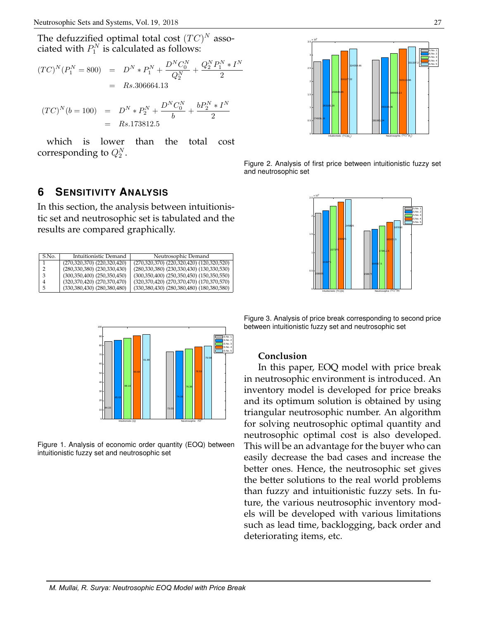The defuzzified optimal total cost  $(TC)^N$ associated with  $P_1^N$  is calculated as follows:

$$
(TC)^N(P_1^N = 800) = D^N * P_1^N + \frac{D^N C_0^N}{Q_2^N} + \frac{Q_2^N P_1^N * I^N}{2}
$$
  
= Rs.306664.13

$$
(TC)^{N}(b = 100) = D^{N} * P_{2}^{N} + \frac{D^{N}C_{0}^{N}}{b} + \frac{bP_{2}^{N} * I^{N}}{2}
$$

$$
= Rs.173812.5
$$

which is lower than the total cost corresponding to  $Q_2^N$ .



Figure 2. Analysis of first price between intuitionistic fuzzy set and neutrosophic set

#### Intuitionistic (TC)(b) Neutrosophic (1 <sub>0</sub>ш 0.5 1 H 1.5 2H  $2.5 \times$  10 $^5$ S.No. 1 S.No. 2 S.No. 3 S.No. 4 S.No. 5  $(TC)^N(b)$ (b) 208925 215075 227375 239675 245825 159975 164587.5 173812.5 187650 183037.5

**6 SENSITIVITY ANALYSIS**

In this section, the analysis between intuitionistic set and neutrosophic set is tabulated and the results are compared graphically.

| S.No.          | Intuitionistic Demand               | Neutrosophic Demand                             |
|----------------|-------------------------------------|-------------------------------------------------|
|                | $(270,320,370)$ $(220,320,420)$     | (270,320,370) (220,320,420) (120,320,520)       |
| $\overline{2}$ | $(280,330,380)$ $(230,330,430)$     | (280, 330, 380) (230, 330, 430) (130, 330, 530) |
| 3              | $(300, 350, 400)$ $(250, 350, 450)$ | $(300,350,400)$ $(250,350,450)$ $(150,350,550)$ |
| 4              | $(320,370,420)$ $(270,370,470)$     | (320, 370, 420) (270, 370, 470) (170, 370, 570) |
| 5              | $(330,380,430)$ $(280,380,480)$     | $(330,380,430)$ $(280,380,480)$ $(180,380,580)$ |



Figure 1. Analysis of economic order quantity (EOQ) between intuitionistic fuzzy set and neutrosophic set

Figure 3. Analysis of price break corresponding to second price between intuitionistic fuzzy set and neutrosophic set

#### **Conclusion**

In this paper, EOQ model with price break in neutrosophic environment is introduced. An inventory model is developed for price breaks and its optimum solution is obtained by using triangular neutrosophic number. An algorithm for solving neutrosophic optimal quantity and neutrosophic optimal cost is also developed. This will be an advantage for the buyer who can easily decrease the bad cases and increase the better ones. Hence, the neutrosophic set gives the better solutions to the real world problems than fuzzy and intuitionistic fuzzy sets. In future, the various neutrosophic inventory models will be developed with various limitations such as lead time, backlogging, back order and deteriorating items, etc.